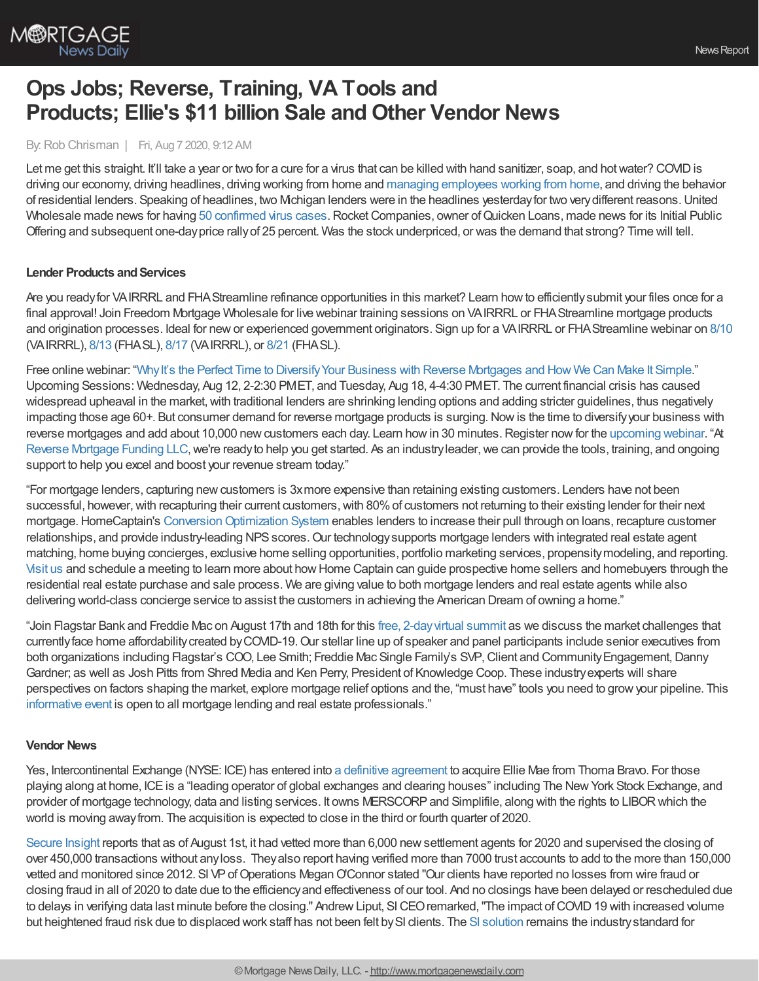

# **Ops Jobs; Reverse, Training, VA Tools and Products; Ellie's \$11 billion Sale and Other Vendor News**

### By:Rob Chrisman | Fri, Aug 7 2020, 9:12 AM

Let me get this straight. It'll take a year or two for a cure for a virus that can be killed with hand sanitizer, soap, and hot water? COVID is driving our economy, driving headlines, driving working from home and managing [employees](https://www.stratmorgroup.com/no-one-is-standing-over-anyones-shoulder/) working from home, and driving the behavior of residential lenders. Speaking of headlines, two Michigan lenders were in the headlines yesterdayfor two verydifferent reasons.United Wholesale made news for having 50 [confirmed](https://www.wxyz.com/news/coronavirus/over-50-confirmed-virus-cases-at-united-shore-in-pontiac-health-officials-say) virus cases. Rocket Companies, owner of Quicken Loans, made news for its Initial Public Offering and subsequent one-dayprice rallyof 25 percent. Was the stock underpriced, or was the demand that strong? Time will tell.

## **Lender Products and Services**

Are you readyfor VAIRRRL and FHAStreamline refinance opportunities in this market? Learn howto efficientlysubmit your files once for a final approval! Join Freedom Mortgage Wholesale for live webinar training sessions on VAIRRRL or FHAStreamline mortgage products and origination processes. Ideal for newor experienced government originators. Sign up for a VAIRRRL or FHAStreamline webinar on [8/10](https://freedom.zoom.us/meeting/register/tJwvcO6vrjMjHtXOUQZTscWBDGemX50WhoNl) (VAIRRRL), [8/13](https://freedom.zoom.us/meeting/register/tJAqc-qqpjMtGdyoM76UrH4IHAESX_zMaCR0) (FHASL), [8/17](https://freedom.zoom.us/meeting/register/tJ0qfu-grTosGdNsAiYKySeZQxiAwc6s-XcO) (VAIRRRL), or [8/21](https://freedom.zoom.us/meeting/register/tJEtc-ioqD0iH9GTorET00yemomFTJf-jMiS) (FHASL).

Free online webinar: "Why It's the Perfect Time to Diversify Your Business with Reverse Mortgages and How We Can Make It Simple." Upcoming Sessions: Wednesday, Aug 12, 2-2:30 PMET, and Tuesday, Aug 18, 4-4:30 PMET. The current financial crisis has caused widespread upheaval in the market, with traditional lenders are shrinking lending options and adding stricter guidelines, thus negatively impacting those age 60+. But consumer demand for reverse mortgage products is surging. Now is the time to diversify your business with reverse mortgages and add about 10,000 new customers each day. Learn how in 30 minutes. Register now for the [upcoming](https://register.gotowebinar.com/#rt/8061263419537802510?utm_source=Rob%20Chrisman&utm_medium=Blog&utm_campaign=TPO%20Diversify%20Webinar&utm_term=Commentary%20Ad&utm_content=Diversify%20Your%20Biz%20Webinars) webinar. "At Reverse [Mortgage](http://reversefacts.com/webinar) Funding LLC, we're ready to help you get started. As an industry leader, we can provide the tools, training, and ongoing support to help you excel and boost your revenue stream today."

"For mortgage lenders, capturing newcustomers is 3xmore expensive than retaining existing customers. Lenders have not been successful, however, with recapturing their current customers, with 80% of customers not returning to their existing lender for their next mortgage. HomeCaptain's Conversion Optimization System enables lenders to increase their pull through on loans, recapture customer relationships, and provide industry-leading NPS scores. Our technology supports mortgage lenders with integrated real estate agent matching, home buying concierges, exclusive home selling opportunities, portfolio marketing services, propensitymodeling, and reporting. [Visit](http://www.homecaptain.com/portfolio-retention) us and schedule a meeting to learn more about howHome Captain can guide prospective home sellers and homebuyers through the residential real estate purchase and sale process. We are giving value to both mortgage lenders and real estate agents while also delivering world-class concierge service to assist the customers in achieving the American Dream of owning a home."

"Join Flagstar Bank and Freddie Mac on August 17th and 18th for this free, [2-dayvirtual](https://the-knowledge-coop.ticketleap.com/freddie-flagtar-conference/details) summit as we discuss the market challenges that currently face home affordability created by COVID-19. Our stellar line up of speaker and panel participants include senior executives from both organizations including Flagstar's COO, Lee Smith; Freddie Mac Single Family's SVP, Client and Community Engagement, Danny Gardner; as well as Josh Pitts from Shred Media and Ken Perry, President of Knowledge Coop. These industryexperts will share perspectives on factors shaping the market, explore mortgage relief options and the, "must have" tools you need to growyour pipeline. This [informative](https://the-knowledge-coop.ticketleap.com/freddie-flagtar-conference/details) event is open to all mortgage lending and real estate professionals."

#### **Vendor News**

Yes, Intercontinental Exchange (NYSE: ICE) has entered into a definitive [agreement](https://www.elliemae.com/about/news-reports/press-releases/ellie-mae-20200806) to acquire Ellie Mae from Thoma Bravo. For those playing along at home, ICEis a "leading operator of global exchanges and clearing houses" including The NewYork Stock Exchange, and provider of mortgage technology, data and listing services. It owns MERSCORPand Simplifile, along with the rights to LIBORwhich the world is moving awayfrom. The acquisition is expected to close in the third or fourth quarter of 2020.

[Secure](http://www.secureinsightsales.com/) Insight reports that as of August 1st, it had vetted more than 6,000 newsettlement agents for 2020 and supervised the closing of over 450,000 transactions without anyloss. Theyalso report having verified more than 7000 trust accounts to add to the more than 150,000 vetted and monitored since 2012. SI VP of Operations Megan O'Connor stated "Our clients have reported no losses from wire fraud or closing fraud in all of 2020 to date due to the efficiencyand effectiveness of our tool. And no closings have been delayed or rescheduled due to delays in verifying data last minute before the closing." Andrew Liput, SI CEO remarked, "The impact of COVID 19 with increased volume but heightened fraud risk due to displaced work staff has not been felt by SI clients. The SI [solution](http://www.secureinsightsales.com/) remains the industry standard for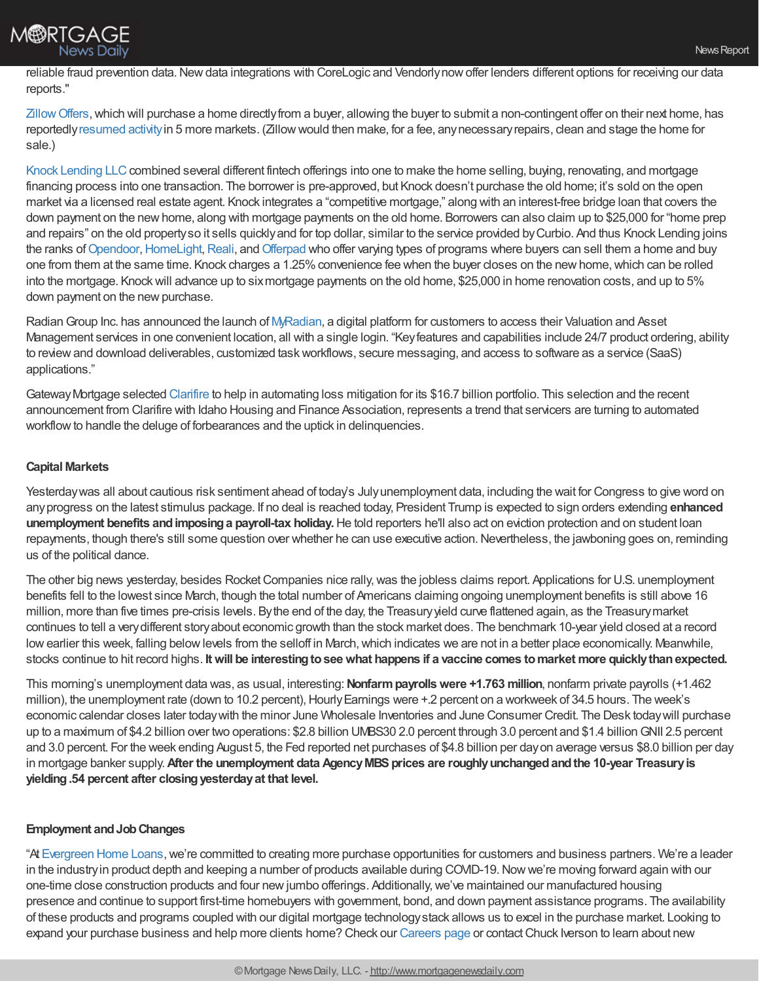

reliable fraud prevention data. New data integrations with CoreLogic and Vendorly now offer lenders different options for receiving our data reports."

Zillow Offers, which will purchase a home directly from a buyer, allowing the buyer to submit a non-contingent offer on their next home, has reportedly[resumed](https://www.housingwire.com/articles/zillow-offers-resumes-in-five-more-markets-bringing-the-total-to-20-out-of-24-markets/) activityin 5 more markets. (Zillowwould then make, for a fee, anynecessaryrepairs, clean and stage the home for sale.)

Knock [Lending](https://www.knock.com/) LLC combined several different fintech offerings into one to make the home selling, buying, renovating, and mortgage financing process into one transaction. The borrower is pre-approved, but Knock doesn't purchase the old home; it's sold on the open market via a licensed real estate agent. Knock integrates a "competitive mortgage," along with an interest-free bridge loan that covers the down payment on the newhome, along with mortgage payments on the old home. Borrowers can also claim up to \$25,000 for "home prep and repairs" on the old propertyso it sells quicklyand for top dollar, similar to the service provided byCurbio. And thus Knock Lending joins the ranks of [Opendoor](https://www.opendoor.com/), [HomeLight,](https://www.homelight.com/) [Reali](https://reali.com/), and [Offerpad](https://www.offerpad.com/) who offer varying types of programs where buyers can sell them a home and buy one from them at the same time. Knock charges a 1.25% convenience fee when the buyer closes on the new home, which can be rolled into the mortgage. Knockwill advance up to sixmortgage payments on the old home, \$25,000 in home renovation costs, and up to 5% down payment on the new purchase.

Radian Group Inc. has announced the launch of [MyRadian,](https://www.radian.com/tools-and-technologies/technology-platforms/my-radian) a digital platform for customers to access their Valuation and Asset Management services in one convenient location, all with a single login. "Keyfeatures and capabilities include 24/7 product ordering, ability to reviewand download deliverables, customized taskworkflows, secure messaging, and access to software as a service (SaaS) applications."

GatewayMortgage selected [Clarifire](https://www.eclarifire.com/) to help in automating loss mitigation for its \$16.7 billion portfolio. This selection and the recent announcement from Clarifire with Idaho Housing and Finance Association, represents a trend that servicers are turning to automated workflow to handle the deluge of forbearances and the uptick in delinquencies.

# **Capital Markets**

Yesterdaywas all about cautious risk sentiment ahead of today's Julyunemployment data, including the wait for Congress to give word on anyprogress on the latest stimulus package. If no deal is reached today, President Trump is expected to sign orders extending **enhanced unemployment benefits andimposinga payroll-tax holiday.**He told reporters he'll also act on eviction protection and on student loan repayments, though there's still some question over whether he can use executive action. Nevertheless, the jawboning goes on, reminding us of the political dance.

The other big news yesterday, besides Rocket Companies nice rally, was the jobless claims report. Applications for U.S. unemployment benefits fell to the lowest since March, though the total number of Americans claiming ongoing unemployment benefits is still above 16 million, more than five times pre-crisis levels. Bythe end of the day, the Treasuryyield curve flattened again, as the Treasurymarket continues to tell a verydifferent storyabout economic growth than the stock market does. The benchmark 10-year yield closed at a record low earlier this week, falling below levels from the selloff in March, which indicates we are not in a better place economically. Meanwhile, stocks continue to hit record highs. **Itwill be interestingtoseewhat happens if a vaccine comes tomarket more quicklythanexpected.**

This morning's unemployment data was, as usual, interesting:**Nonfarmpayrollswere +1.763 million**, nonfarm private payrolls (+1.462 million), the unemployment rate (down to 10.2 percent), Hourly Earnings were +.2 percent on a workweek of 34.5 hours. The week's economic calendar closes later todaywith the minor June Wholesale Inventories and June Consumer Credit. The Desk todaywill purchase up to a maximum of \$4.2 billion over two operations: \$2.8 billion UMBS30 2.0 percent through 3.0 percent and \$1.4 billionGNII 2.5 percent and 3.0 percent. For the week ending August 5, the Fed reported net purchases of \$4.8 billion per dayon average versus \$8.0 billion per day in mortgage banker supply.**After the unemployment data AgencyMBSprices are roughlyunchangedandthe 10-year Treasuryis yielding.54 percent after closingyesterdayat that level.**

## **Employment andJobChanges**

"At [Evergreen](https://www.evergreenhomeloans.com/) Home Loans, we're committed to creating more purchase opportunities for customers and business partners. We're a leader in the industryin product depth and keeping a number of products available during COVID-19.Nowwe're moving forward again with our one-time close construction products and four new jumbo offerings. Additionally, we've maintained our manufactured housing presence and continue to support first-time homebuyers with government, bond, and down payment assistance programs. The availability of these products and programs coupled with our digital mortgage technologystack allows us to excel in the purchase market. Looking to expand your purchase business and help more clients home? Check our [Careers](https://www.evergreenhomeloans.com/why-evergreen/mortgage-jobs) page or contactChuck Iverson to learn about new